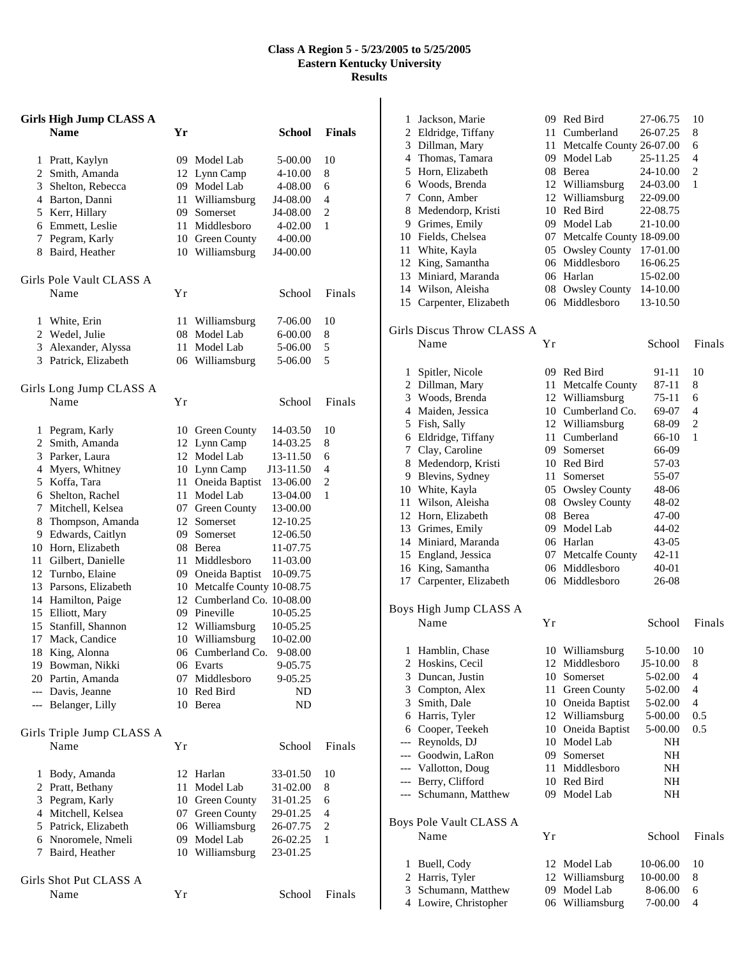## **Class A Region 5 - 5/23/2005 to 5/25/2005 Eastern Kentucky University Results**

| <b>Girls High Jump CLASS A</b> |                                       |    |                                    |                      |                |
|--------------------------------|---------------------------------------|----|------------------------------------|----------------------|----------------|
|                                | <b>Name</b>                           | Yr |                                    | <b>School</b>        | <b>Finals</b>  |
|                                |                                       |    |                                    |                      |                |
| $\mathbf{1}$                   | Pratt, Kaylyn                         |    | 09 Model Lab                       | 5-00.00              | 10             |
|                                | 2 Smith, Amanda                       |    | 12 Lynn Camp                       | 4-10.00              | 8              |
|                                | 3 Shelton, Rebecca                    |    | 09 Model Lab                       | 4-08.00              | 6              |
|                                | 4 Barton, Danni                       |    | 11 Williamsburg                    | J4-08.00             | 4              |
|                                | 5 Kerr, Hillary                       |    | 09 Somerset                        | J4-08.00             | 2              |
|                                | 6 Emmett, Leslie                      |    | 11 Middlesboro                     | 4-02.00              | 1              |
|                                | 7 Pegram, Karly                       |    | 10 Green County                    | 4-00.00              |                |
|                                | 8 Baird, Heather                      |    | 10 Williamsburg                    | J4-00.00             |                |
|                                | Girls Pole Vault CLASS A              |    |                                    |                      |                |
|                                | Name                                  | Υr |                                    | School               | Finals         |
|                                |                                       |    |                                    |                      |                |
|                                | 1 White, Erin                         | 11 | Williamsburg                       | 7-06.00              | 10             |
|                                | 2 Wedel, Julie                        | 08 | Model Lab                          | 6-00.00              | 8              |
|                                | 3 Alexander, Alyssa                   | 11 | Model Lab                          | 5-06.00              | 5              |
|                                | 3 Patrick, Elizabeth                  |    | 06 Williamsburg                    | 5-06.00              | 5              |
|                                |                                       |    |                                    |                      |                |
|                                | Girls Long Jump CLASS A<br>Name       | Υr |                                    | School               | Finals         |
|                                |                                       |    |                                    |                      |                |
|                                | 1 Pegram, Karly                       |    | 10 Green County                    | 14-03.50             | 10             |
|                                | 2 Smith, Amanda                       |    | 12 Lynn Camp                       | 14-03.25             | 8              |
|                                | 3 Parker, Laura                       |    | 12 Model Lab                       | 13-11.50             | 6              |
|                                | 4 Myers, Whitney                      |    | 10 Lynn Camp                       | J13-11.50            | 4              |
|                                | 5 Koffa, Tara                         |    | 11 Oneida Baptist                  | 13-06.00             | $\overline{c}$ |
|                                | 6 Shelton, Rachel                     |    | 11 Model Lab                       | 13-04.00             | 1              |
|                                | 7 Mitchell, Kelsea                    |    | 07 Green County                    | 13-00.00             |                |
|                                | 8 Thompson, Amanda                    |    | 12 Somerset                        | 12-10.25             |                |
|                                | 9 Edwards, Caitlyn                    |    | 09 Somerset                        | 12-06.50             |                |
|                                | 10 Horn, Elizabeth                    |    | 08 Berea                           | 11-07.75             |                |
|                                | 11 Gilbert, Danielle                  |    | 11 Middlesboro                     | 11-03.00             |                |
|                                | 12 Turnbo, Elaine                     |    | 09 Oneida Baptist                  | 10-09.75             |                |
|                                | 13 Parsons, Elizabeth                 |    | 10 Metcalfe County 10-08.75        |                      |                |
|                                | 14 Hamilton, Paige                    |    | 12 Cumberland Co. 10-08.00         |                      |                |
| 15                             | 15 Elliott, Mary<br>Stanfill, Shannon |    | 09 Pineville                       | 10-05.25             |                |
| 17                             | Mack, Candice                         |    | 12 Williamsburg<br>10 Williamsburg | 10-05.25<br>10-02.00 |                |
| 18                             | King, Alonna                          |    | 06 Cumberland Co.                  | 9-08.00              |                |
|                                | 19 Bowman, Nikki                      |    | 06 Evarts                          | 9-05.75              |                |
|                                | 20 Partin, Amanda                     |    | 07 Middlesboro                     | 9-05.25              |                |
|                                | --- Davis, Jeanne                     |    | 10 Red Bird                        | ND                   |                |
|                                | --- Belanger, Lilly                   |    | 10 Berea                           | ND                   |                |
|                                |                                       |    |                                    |                      |                |
|                                | Girls Triple Jump CLASS A             |    |                                    |                      |                |
|                                | Name                                  | Υr |                                    | School               | Finals         |
| 1                              | Body, Amanda                          |    | 12 Harlan                          | 33-01.50             | 10             |
|                                | 2 Pratt, Bethany                      |    | 11 Model Lab                       | 31-02.00             | 8              |
|                                | 3 Pegram, Karly                       |    | 10 Green County                    | 31-01.25             | 6              |
|                                | 4 Mitchell, Kelsea                    |    | 07 Green County                    | 29-01.25             | 4              |
|                                | 5 Patrick, Elizabeth                  |    | 06 Williamsburg                    | 26-07.75             | 2              |
|                                | 6 Nnoromele, Nmeli                    |    | 09 Model Lab                       | 26-02.25             | 1              |
| 7                              | Baird, Heather                        |    | 10 Williamsburg                    | 23-01.25             |                |
|                                |                                       |    |                                    |                      |                |
|                                | Girls Shot Put CLASS A                |    |                                    |                      |                |
|                                | Name                                  | Υr |                                    | School               | Finals         |

| 1              | Jackson, Marie             |    | 09 Red Bird                 | 27-06.75  | 10             |
|----------------|----------------------------|----|-----------------------------|-----------|----------------|
| $\overline{2}$ | Eldridge, Tiffany          |    | 11 Cumberland               | 26-07.25  | 8              |
| 3              | Dillman, Mary              |    | 11 Metcalfe County 26-07.00 |           | 6              |
|                | 4 Thomas, Tamara           |    | 09 Model Lab                | 25-11.25  | 4              |
|                | 5 Horn, Elizabeth          |    | 08 Berea                    | 24-10.00  | $\overline{c}$ |
|                | 6 Woods, Brenda            |    | 12 Williamsburg             | 24-03.00  | 1              |
| 7              | Conn, Amber                |    | 12 Williamsburg             | 22-09.00  |                |
| 8              | Medendorp, Kristi          |    | 10 Red Bird                 | 22-08.75  |                |
| 9              | Grimes, Emily              |    | 09 Model Lab                | 21-10.00  |                |
|                | 10 Fields, Chelsea         |    | 07 Metcalfe County 18-09.00 |           |                |
| 11             | White, Kayla               |    | 05 Owsley County            | 17-01.00  |                |
|                | 12 King, Samantha          |    | 06 Middlesboro              | 16-06.25  |                |
| 13             | Miniard, Maranda           |    | 06 Harlan                   | 15-02.00  |                |
| 14             | Wilson, Aleisha            |    | 08 Owsley County            | 14-10.00  |                |
| 15             | Carpenter, Elizabeth       |    | 06 Middlesboro              | 13-10.50  |                |
|                | Girls Discus Throw CLASS A |    |                             |           |                |
|                | Name                       | Yr |                             | School    | Finals         |
|                |                            |    |                             |           |                |
| 1              | Spitler, Nicole            |    | 09 Red Bird                 | 91-11     | 10             |
| 2              | Dillman, Mary              |    | 11 Metcalfe County          | 87-11     | 8              |
|                | 3 Woods, Brenda            |    | 12 Williamsburg             | 75-11     | 6              |
|                | 4 Maiden, Jessica          |    | 10 Cumberland Co.           | 69-07     | 4              |
|                | 5 Fish, Sally              |    | 12 Williamsburg             | 68-09     | $\overline{c}$ |
| 6              | Eldridge, Tiffany          |    | 11 Cumberland               | 66-10     | 1              |
| 7              | Clay, Caroline             |    | 09 Somerset                 | 66-09     |                |
| 8              | Medendorp, Kristi          |    | 10 Red Bird                 | 57-03     |                |
| 9              | Blevins, Sydney            |    | 11 Somerset                 | 55-07     |                |
| 10             | White, Kayla               |    | 05 Owsley County            | 48-06     |                |
| 11             | Wilson, Aleisha            |    | 08 Owsley County            | 48-02     |                |
| 12             | Horn, Elizabeth            |    | 08 Berea                    | 47-00     |                |
|                | 13 Grimes, Emily           |    | 09 Model Lab                | 44-02     |                |
|                | 14 Miniard, Maranda        |    | 06 Harlan                   | $43 - 05$ |                |
|                | 15 England, Jessica        |    | 07 Metcalfe County          | 42-11     |                |
| 16             | King, Samantha             |    | 06 Middlesboro              | 40-01     |                |
| 17             | Carpenter, Elizabeth       |    | 06 Middlesboro              | 26-08     |                |
|                | Boys High Jump CLASS A     |    |                             |           |                |
|                | Name                       | Υr |                             | School    | <b>Finals</b>  |
| 1              | Hamblin, Chase             |    | 10 Williamsburg             | 5-10.00   | 10             |
| 2              | Hoskins, Cecil             |    | 12 Middlesboro              | J5-10.00  | 8              |
| 3              | Duncan, Justin             |    | 10 Somerset                 | 5-02.00   | 4              |
| 3              | Compton, Alex              | 11 | Green County                | 5-02.00   | 4              |
| 3              | Smith, Dale                |    | 10 Oneida Baptist           | 5-02.00   | 4              |
| 6              | Harris, Tyler              |    | 12 Williamsburg             | 5-00.00   | 0.5            |
| 6              | Cooper, Teekeh             |    | 10 Oneida Baptist           | 5-00.00   | 0.5            |
| ---            | Reynolds, DJ               |    | 10 Model Lab                | NH        |                |
|                | --- Goodwin, LaRon         |    | 09 Somerset                 | NH        |                |
| ---            | Vallotton, Doug            |    | 11 Middlesboro              | NH        |                |
| ---            | Berry, Clifford            |    | 10 Red Bird                 |           |                |
|                |                            |    |                             | NH        |                |
| ---            | Schumann, Matthew          | 09 | Model Lab                   | NH        |                |
|                | Boys Pole Vault CLASS A    |    |                             |           |                |
|                | Name                       | Yr |                             | School    | Finals         |
| 1              | Buell, Cody                | 12 | Model Lab                   | 10-06.00  | 10             |
| 2              | Harris, Tyler              | 12 | Williamsburg                | 10-00.00  | 8              |
| 3              | Schumann, Matthew          | 09 | Model Lab                   | 8-06.00   | 6              |
| 4              | Lowire, Christopher        | 06 | Williamsburg                | 7-00.00   | 4              |
|                |                            |    |                             |           |                |